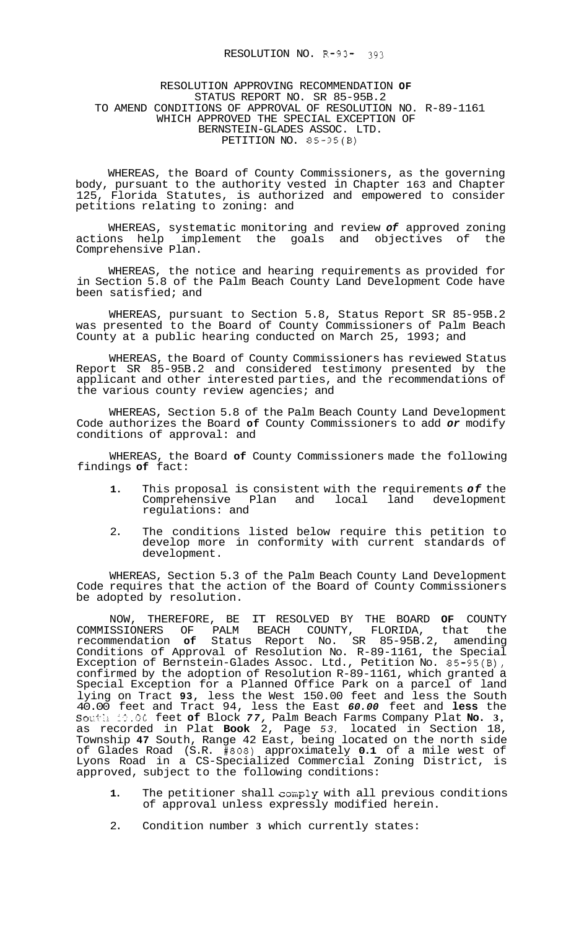## RESOLUTION NO. R-93- 393

## RESOLUTION APPROVING RECOMMENDATION **OF**  STATUS REPORT NO. SR 85-95B.2 TO AMEND CONDITIONS OF APPROVAL OF RESOLUTION NO. R-89-1161 WHICH APPROVED THE SPECIAL EXCEPTION OF BERNSTEIN-GLADES ASSOC. LTD. PETITION NO. 85-95(B)

WHEREAS, the Board of County Commissioners, as the governing body, pursuant to the authority vested in Chapter 163 and Chapter 125, Florida Statutes, is authorized and empowered to consider petitions relating to zoning: and

WHEREAS, systematic monitoring and review *of* approved zoning actions help implement the goals and objectives of Comprehensive Plan.

WHEREAS, the notice and hearing requirements as provided for in Section 5.8 of the Palm Beach County Land Development Code have been satisfied; and

WHEREAS, pursuant to Section 5.8, Status Report SR 85-95B.2 was presented to the Board of County Commissioners of Palm Beach County at a public hearing conducted on March 25, 1993; and

WHEREAS, the Board of County Commissioners has reviewed Status Report SR 85-95B.2 and considered testimony presented by the applicant and other interested parties, and the recommendations of the various county review agencies; and

WHEREAS, Section 5.8 of the Palm Beach County Land Development Code authorizes the Board **of** County Commissioners to add *or* modify conditions of approval: and

WHEREAS, the Board **of** County Commissioners made the following findings **of** fact:

- **1.** This proposal is consistent with the requirements *of* the Comprehensive Plan and local land development regulations: and
- 2. The conditions listed below require this petition to develop more in conformity with current standards of development.

WHEREAS, Section 5.3 of the Palm Beach County Land Development Code requires that the action of the Board of County Commissioners be adopted by resolution.

NOW, THEREFORE, BE IT RESOLVED BY THE BOARD **OF** COUNTY COMMISSIONERS OF PALM BEACH COUNTY, FLORIDA, that the recommendation **of** Status Report No. SR 85-95B.2, amending Conditions of Approval of Resolution No. R-89-1161, the Special Exception of Bernstein-Glades Assoc. Ltd., Petition No. 85-95(B), confirmed by the adoption of Resolution R-89-1161, which granted a Special Exception for a Planned Office Park on a parcel of land lying on Tract **93,** less the West 150.00 feet and less the South 40.00 feet and Tract 94, less the East *60.00* feet and **less** the So::f'I?. 1::. **3C** feet **of** Block *77,* Palm Beach Farms Company Plat **No. 3,**  as recorded in Plat **Book** 2, Page *53,* located in Section 18, Township **47** South, Range 42 East, being located on the north side of Glades Road (S.R. #808) approximately **0.1** of a mile west of Lyons Road in a CS-Specialized Commercial Zoning District, is approved, subject to the following conditions:

- 1. The petitioner shall comply with all previous conditions of approval unless expressly modified herein.
- 2. Condition number **3** which currently states: